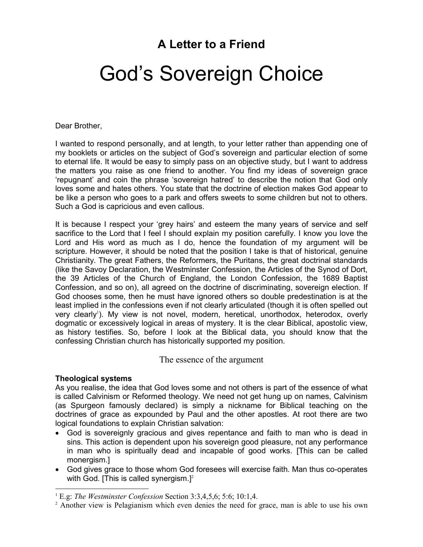# **A Letter to a Friend**

# God's Sovereign Choice

Dear Brother,

I wanted to respond personally, and at length, to your letter rather than appending one of my booklets or articles on the subject of God's sovereign and particular election of some to eternal life. It would be easy to simply pass on an objective study, but I want to address the matters you raise as one friend to another. You find my ideas of sovereign grace 'repugnant' and coin the phrase 'sovereign hatred' to describe the notion that God only loves some and hates others. You state that the doctrine of election makes God appear to be like a person who goes to a park and offers sweets to some children but not to others. Such a God is capricious and even callous.

It is because I respect your 'grey hairs' and esteem the many years of service and self sacrifice to the Lord that I feel I should explain my position carefully. I know you love the Lord and His word as much as I do, hence the foundation of my argument will be scripture. However, it should be noted that the position I take is that of historical, genuine Christianity. The great Fathers, the Reformers, the Puritans, the great doctrinal standards (like the Savoy Declaration, the Westminster Confession, the Articles of the Synod of Dort, the 39 Articles of the Church of England, the London Confession, the 1689 Baptist Confession, and so on), all agreed on the doctrine of discriminating, sovereign election. If God chooses some, then he must have ignored others so double predestination is at the least implied in the confessions even if not clearly articulated (though it is often spelled out very clearly<sup>1</sup>). My view is not novel, modern, heretical, unorthodox, heterodox, overly dogmatic or excessively logical in areas of mystery. It is the clear Biblical, apostolic view, as history testifies. So, before I look at the Biblical data, you should know that the confessing Christian church has historically supported my position.

The essence of the argument

# **Theological systems**

As you realise, the idea that God loves some and not others is part of the essence of what is called Calvinism or Reformed theology. We need not get hung up on names, Calvinism (as Spurgeon famously declared) is simply a nickname for Biblical teaching on the doctrines of grace as expounded by Paul and the other apostles. At root there are two logical foundations to explain Christian salvation:

- God is sovereignly gracious and gives repentance and faith to man who is dead in sins. This action is dependent upon his sovereign good pleasure, not any performance in man who is spiritually dead and incapable of good works. [This can be called monergism.]
- God gives grace to those whom God foresees will exercise faith. Man thus co-operates with God. [This is called synergism.]<sup>2</sup>

 1 E.g: *The Westminster Confession* Section 3:3,4,5,6; 5:6; 10:1,4.

<sup>&</sup>lt;sup>2</sup> Another view is Pelagianism which even denies the need for grace, man is able to use his own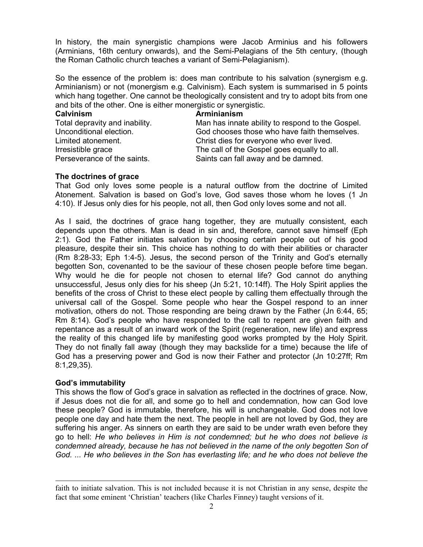In history, the main synergistic champions were Jacob Arminius and his followers (Arminians, 16th century onwards), and the Semi-Pelagians of the 5th century, (though the Roman Catholic church teaches a variant of Semi-Pelagianism).

So the essence of the problem is: does man contribute to his salvation (synergism e.g. Arminianism) or not (monergism e.g. Calvinism). Each system is summarised in 5 points which hang together. One cannot be theologically consistent and try to adopt bits from one and bits of the other. One is either monergistic or synergistic.

| Arminianism                                      |
|--------------------------------------------------|
| Man has innate ability to respond to the Gospel. |
| God chooses those who have faith themselves.     |
| Christ dies for everyone who ever lived.         |
| The call of the Gospel goes equally to all.      |
| Saints can fall away and be damned.              |
|                                                  |

#### **The doctrines of grace**

That God only loves some people is a natural outflow from the doctrine of Limited Atonement. Salvation is based on God's love, God saves those whom he loves (1 Jn 4:10). If Jesus only dies for his people, not all, then God only loves some and not all.

As I said, the doctrines of grace hang together, they are mutually consistent, each depends upon the others. Man is dead in sin and, therefore, cannot save himself (Eph 2:1). God the Father initiates salvation by choosing certain people out of his good pleasure, despite their sin. This choice has nothing to do with their abilities or character (Rm 8:28-33; Eph 1:4-5). Jesus, the second person of the Trinity and God's eternally begotten Son, covenanted to be the saviour of these chosen people before time began. Why would he die for people not chosen to eternal life? God cannot do anything unsuccessful, Jesus only dies for his sheep (Jn 5:21, 10:14ff). The Holy Spirit applies the benefits of the cross of Christ to these elect people by calling them effectually through the universal call of the Gospel. Some people who hear the Gospel respond to an inner motivation, others do not. Those responding are being drawn by the Father (Jn 6:44, 65; Rm 8:14). God's people who have responded to the call to repent are given faith and repentance as a result of an inward work of the Spirit (regeneration, new life) and express the reality of this changed life by manifesting good works prompted by the Holy Spirit. They do not finally fall away (though they may backslide for a time) because the life of God has a preserving power and God is now their Father and protector (Jn 10:27ff; Rm 8:1,29,35).

# **God's immutability**

 $\overline{a}$ 

This shows the flow of God's grace in salvation as reflected in the doctrines of grace. Now, if Jesus does not die for all, and some go to hell and condemnation, how can God love these people? God is immutable, therefore, his will is unchangeable. God does not love people one day and hate them the next. The people in hell are not loved by God, they are suffering his anger. As sinners on earth they are said to be under wrath even before they go to hell: *He who believes in Him is not condemned; but he who does not believe is condemned already, because he has not believed in the name of the only begotten Son of God. ... He who believes in the Son has everlasting life; and he who does not believe the* 

faith to initiate salvation. This is not included because it is not Christian in any sense, despite the fact that some eminent 'Christian' teachers (like Charles Finney) taught versions of it.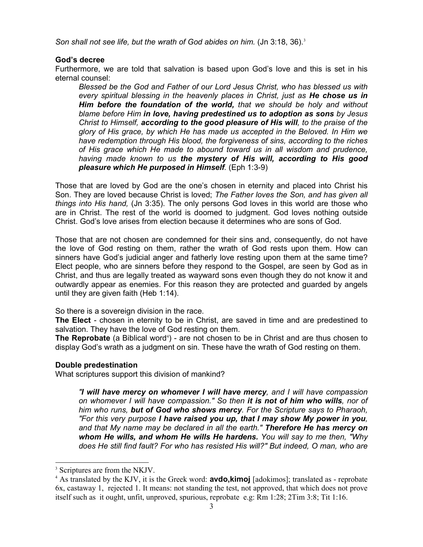Son shall not see life, but the wrath of God abides on him. (Jn 3:18, 36).<sup>3</sup>

# **God's decree**

Furthermore, we are told that salvation is based upon God's love and this is set in his eternal counsel:

*Blessed be the God and Father of our Lord Jesus Christ, who has blessed us with every spiritual blessing in the heavenly places in Christ, just as He chose us in Him before the foundation of the world, that we should be holy and without blame before Him in love, having predestined us to adoption as sons by Jesus Christ to Himself, according to the good pleasure of His will, to the praise of the glory of His grace, by which He has made us accepted in the Beloved. In Him we have redemption through His blood, the forgiveness of sins, according to the riches of His grace which He made to abound toward us in all wisdom and prudence, having made known to us the mystery of His will, according to His good pleasure which He purposed in Himself.* (Eph 1:3-9)

Those that are loved by God are the one's chosen in eternity and placed into Christ his Son. They are loved because Christ is loved; *The Father loves the Son, and has given all things into His hand,* (Jn 3:35). The only persons God loves in this world are those who are in Christ. The rest of the world is doomed to judgment. God loves nothing outside Christ. God's love arises from election because it determines who are sons of God.

Those that are not chosen are condemned for their sins and, consequently, do not have the love of God resting on them, rather the wrath of God rests upon them. How can sinners have God's judicial anger and fatherly love resting upon them at the same time? Elect people, who are sinners before they respond to the Gospel, are seen by God as in Christ, and thus are legally treated as wayward sons even though they do not know it and outwardly appear as enemies. For this reason they are protected and guarded by angels until they are given faith (Heb 1:14).

So there is a sovereign division in the race.

**The Elect** - chosen in eternity to be in Christ, are saved in time and are predestined to salvation. They have the love of God resting on them.

**The Reprobate** (a Biblical word<sup>4</sup>) - are not chosen to be in Christ and are thus chosen to display God's wrath as a judgment on sin. These have the wrath of God resting on them.

# **Double predestination**

What scriptures support this division of mankind?

*"I will have mercy on whomever I will have mercy, and I will have compassion on whomever I will have compassion." So then it is not of him who wills, nor of him who runs, but of God who shows mercy. For the Scripture says to Pharaoh, "For this very purpose I have raised you up, that I may show My power in you, and that My name may be declared in all the earth." Therefore He has mercy on whom He wills, and whom He wills He hardens. You will say to me then, "Why does He still find fault? For who has resisted His will?" But indeed, O man, who are* 

 $\overline{a}$ 

<sup>3</sup> Scriptures are from the NKJV.

<sup>4</sup> As translated by the KJV, it is the Greek word: **avdo,kimoj** [adokimos]; translated as - reprobate 6x, castaway 1, rejected 1. It means: not standing the test, not approved, that which does not prove itself such as it ought, unfit, unproved, spurious, reprobate e.g: Rm 1:28; 2Tim 3:8; Tit 1:16.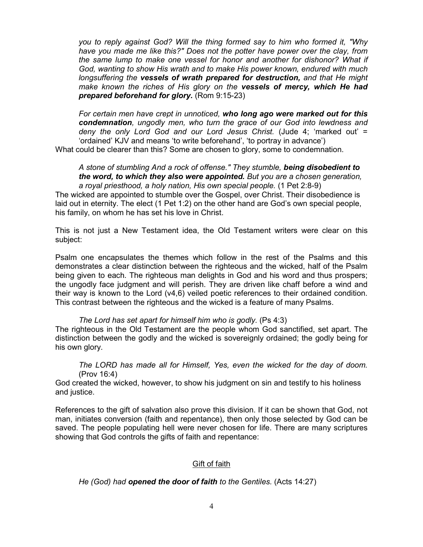*you to reply against God? Will the thing formed say to him who formed it, "Why have you made me like this?" Does not the potter have power over the clay, from the same lump to make one vessel for honor and another for dishonor? What if God, wanting to show His wrath and to make His power known, endured with much longsuffering the vessels of wrath prepared for destruction, and that He might make known the riches of His glory on the vessels of mercy, which He had prepared beforehand for glory.* (Rom 9:15-23)

*For certain men have crept in unnoticed, who long ago were marked out for this condemnation, ungodly men, who turn the grace of our God into lewdness and deny the only Lord God and our Lord Jesus Christ.* (Jude 4; 'marked out' = 'ordained' KJV and means 'to write beforehand', 'to portray in advance') What could be clearer than this? Some are chosen to glory, some to condemnation.

*A stone of stumbling And a rock of offense." They stumble, being disobedient to the word, to which they also were appointed. But you are a chosen generation, a royal priesthood, a holy nation, His own special people.* (1 Pet 2:8-9)

The wicked are appointed to stumble over the Gospel, over Christ. Their disobedience is laid out in eternity. The elect (1 Pet 1:2) on the other hand are God's own special people, his family, on whom he has set his love in Christ.

This is not just a New Testament idea, the Old Testament writers were clear on this subject:

Psalm one encapsulates the themes which follow in the rest of the Psalms and this demonstrates a clear distinction between the righteous and the wicked, half of the Psalm being given to each. The righteous man delights in God and his word and thus prospers; the ungodly face judgment and will perish. They are driven like chaff before a wind and their way is known to the Lord (v4,6) veiled poetic references to their ordained condition. This contrast between the righteous and the wicked is a feature of many Psalms.

*The Lord has set apart for himself him who is godly.* (Ps 4:3) The righteous in the Old Testament are the people whom God sanctified, set apart. The distinction between the godly and the wicked is sovereignly ordained; the godly being for

his own glory.

*The LORD has made all for Himself, Yes, even the wicked for the day of doom.*  (Prov 16:4)

God created the wicked, however, to show his judgment on sin and testify to his holiness and justice.

References to the gift of salvation also prove this division. If it can be shown that God, not man, initiates conversion (faith and repentance), then only those selected by God can be saved. The people populating hell were never chosen for life. There are many scriptures showing that God controls the gifts of faith and repentance:

# Gift of faith

*He (God) had opened the door of faith to the Gentiles.* (Acts 14:27)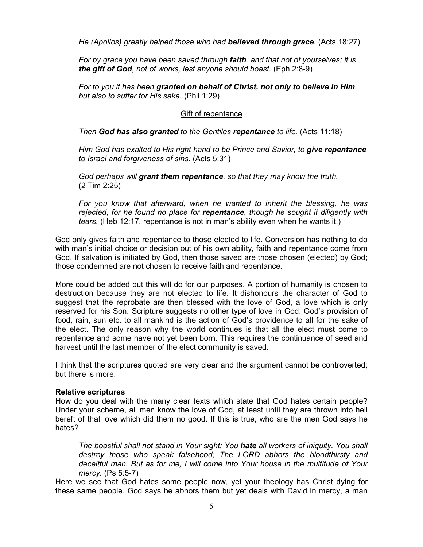*He (Apollos) greatly helped those who had believed through grace.* (Acts 18:27)

*For by grace you have been saved through faith, and that not of yourselves; it is the gift of God, not of works, lest anyone should boast.* (Eph 2:8-9)

*For to you it has been granted on behalf of Christ, not only to believe in Him, but also to suffer for His sake.* (Phil 1:29)

#### Gift of repentance

*Then God has also granted to the Gentiles repentance to life.* (Acts 11:18)

*Him God has exalted to His right hand to be Prince and Savior, to give repentance to Israel and forgiveness of sins.* (Acts 5:31)

*God perhaps will grant them repentance, so that they may know the truth.* (2 Tim 2:25)

*For you know that afterward, when he wanted to inherit the blessing, he was rejected, for he found no place for repentance, though he sought it diligently with tears.* (Heb 12:17, repentance is not in man's ability even when he wants it.)

God only gives faith and repentance to those elected to life. Conversion has nothing to do with man's initial choice or decision out of his own ability, faith and repentance come from God. If salvation is initiated by God, then those saved are those chosen (elected) by God; those condemned are not chosen to receive faith and repentance.

More could be added but this will do for our purposes. A portion of humanity is chosen to destruction because they are not elected to life. It dishonours the character of God to suggest that the reprobate are then blessed with the love of God, a love which is only reserved for his Son. Scripture suggests no other type of love in God. God's provision of food, rain, sun etc. to all mankind is the action of God's providence to all for the sake of the elect. The only reason why the world continues is that all the elect must come to repentance and some have not yet been born. This requires the continuance of seed and harvest until the last member of the elect community is saved.

I think that the scriptures quoted are very clear and the argument cannot be controverted; but there is more.

#### **Relative scriptures**

How do you deal with the many clear texts which state that God hates certain people? Under your scheme, all men know the love of God, at least until they are thrown into hell bereft of that love which did them no good. If this is true, who are the men God says he hates?

*The boastful shall not stand in Your sight; You hate all workers of iniquity. You shall destroy those who speak falsehood; The LORD abhors the bloodthirsty and deceitful man. But as for me, I will come into Your house in the multitude of Your mercy.* (Ps 5:5-7)

Here we see that God hates some people now, yet your theology has Christ dying for these same people. God says he abhors them but yet deals with David in mercy, a man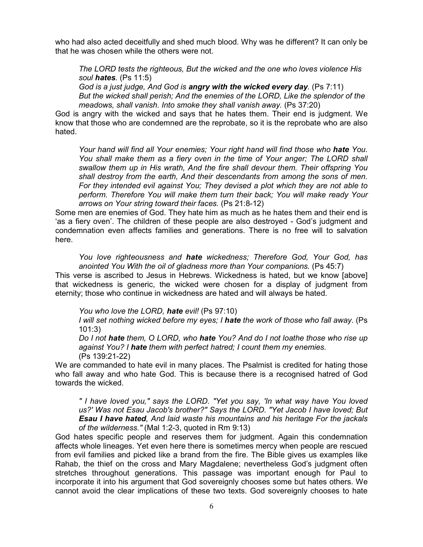who had also acted deceitfully and shed much blood. Why was he different? It can only be that he was chosen while the others were not.

*The LORD tests the righteous, But the wicked and the one who loves violence His soul hates.* (Ps 11:5)

*God is a just judge, And God is angry with the wicked every day.* (Ps 7:11) *But the wicked shall perish; And the enemies of the LORD, Like the splendor of the meadows, shall vanish. Into smoke they shall vanish away.* (Ps 37:20)

God is angry with the wicked and says that he hates them. Their end is judgment. We know that those who are condemned are the reprobate, so it is the reprobate who are also hated.

*Your hand will find all Your enemies; Your right hand will find those who hate You. You shall make them as a fiery oven in the time of Your anger; The LORD shall swallow them up in His wrath, And the fire shall devour them. Their offspring You shall destroy from the earth, And their descendants from among the sons of men. For they intended evil against You; They devised a plot which they are not able to perform. Therefore You will make them turn their back; You will make ready Your arrows on Your string toward their faces.* (Ps 21:8-12)

Some men are enemies of God. They hate him as much as he hates them and their end is 'as a fiery oven'. The children of these people are also destroyed - God's judgment and condemnation even affects families and generations. There is no free will to salvation here.

*You love righteousness and hate wickedness; Therefore God, Your God, has anointed You With the oil of gladness more than Your companions.* (Ps 45:7)

This verse is ascribed to Jesus in Hebrews. Wickedness is hated, but we know [above] that wickedness is generic, the wicked were chosen for a display of judgment from eternity; those who continue in wickedness are hated and will always be hated.

*You who love the LORD, hate evil!* (Ps 97:10)

*I* will set nothing wicked before my eyes; *I* **hate** the work of those who fall away. (Ps 101:3)

*Do I not hate them, O LORD, who hate You? And do I not loathe those who rise up against You? I hate them with perfect hatred; I count them my enemies.* (Ps 139:21-22)

We are commanded to hate evil in many places. The Psalmist is credited for hating those who fall away and who hate God. This is because there is a recognised hatred of God towards the wicked.

*" I have loved you," says the LORD. "Yet you say, 'In what way have You loved us?' Was not Esau Jacob's brother?" Says the LORD. "Yet Jacob I have loved; But Esau I have hated, And laid waste his mountains and his heritage For the jackals of the wilderness."* (Mal 1:2-3, quoted in Rm 9:13)

God hates specific people and reserves them for judgment. Again this condemnation affects whole lineages. Yet even here there is sometimes mercy when people are rescued from evil families and picked like a brand from the fire. The Bible gives us examples like Rahab, the thief on the cross and Mary Magdalene; nevertheless God's judgment often stretches throughout generations. This passage was important enough for Paul to incorporate it into his argument that God sovereignly chooses some but hates others. We cannot avoid the clear implications of these two texts. God sovereignly chooses to hate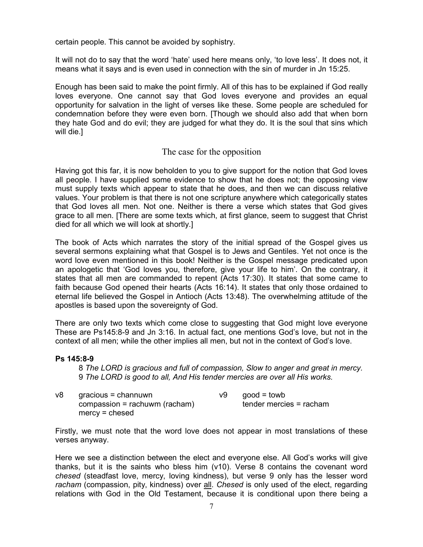certain people. This cannot be avoided by sophistry.

It will not do to say that the word 'hate' used here means only, 'to love less'. It does not, it means what it says and is even used in connection with the sin of murder in Jn 15:25.

Enough has been said to make the point firmly. All of this has to be explained if God really loves everyone. One cannot say that God loves everyone and provides an equal opportunity for salvation in the light of verses like these. Some people are scheduled for condemnation before they were even born. [Though we should also add that when born they hate God and do evil; they are judged for what they do. It is the soul that sins which will die.]

# The case for the opposition

Having got this far, it is now beholden to you to give support for the notion that God loves all people. I have supplied some evidence to show that he does not; the opposing view must supply texts which appear to state that he does, and then we can discuss relative values. Your problem is that there is not one scripture anywhere which categorically states that God loves all men. Not one. Neither is there a verse which states that God gives grace to all men. [There are some texts which, at first glance, seem to suggest that Christ died for all which we will look at shortly.]

The book of Acts which narrates the story of the initial spread of the Gospel gives us several sermons explaining what that Gospel is to Jews and Gentiles. Yet not once is the word love even mentioned in this book! Neither is the Gospel message predicated upon an apologetic that 'God loves you, therefore, give your life to him'. On the contrary, it states that all men are commanded to repent (Acts 17:30). It states that some came to faith because God opened their hearts (Acts 16:14). It states that only those ordained to eternal life believed the Gospel in Antioch (Acts 13:48). The overwhelming attitude of the apostles is based upon the sovereignty of God.

There are only two texts which come close to suggesting that God might love everyone These are Ps145:8-9 and Jn 3:16. In actual fact, one mentions God's love, but not in the context of all men; while the other implies all men, but not in the context of God's love.

#### **Ps 145:8-9**

8 *The LORD is gracious and full of compassion, Slow to anger and great in mercy.*  9 *The LORD is good to all, And His tender mercies are over all His works.* 

| v8 | gracious = channuwn              | v9 | $good = towb$           |
|----|----------------------------------|----|-------------------------|
|    | $composition = rachuwm (racham)$ |    | tender mercies = racham |
|    | $mercy = cheese$                 |    |                         |

Firstly, we must note that the word love does not appear in most translations of these verses anyway.

Here we see a distinction between the elect and everyone else. All God's works will give thanks, but it is the saints who bless him (v10). Verse 8 contains the covenant word *chesed* (steadfast love, mercy, loving kindness), but verse 9 only has the lesser word *racham* (compassion, pity, kindness) over all. *Chesed* is only used of the elect, regarding relations with God in the Old Testament, because it is conditional upon there being a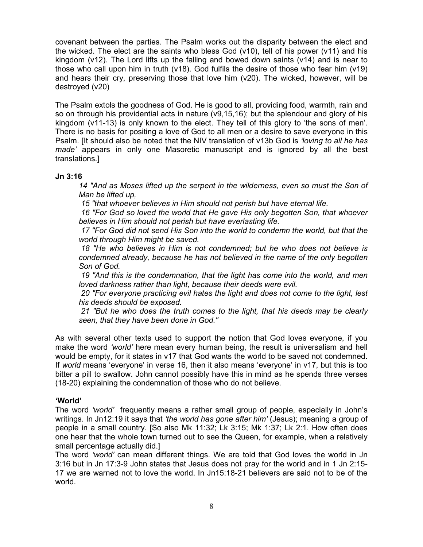covenant between the parties. The Psalm works out the disparity between the elect and the wicked. The elect are the saints who bless God (v10), tell of his power (v11) and his kingdom (v12). The Lord lifts up the falling and bowed down saints (v14) and is near to those who call upon him in truth (v18). God fulfils the desire of those who fear him (v19) and hears their cry, preserving those that love him (v20). The wicked, however, will be destroyed (v20)

The Psalm extols the goodness of God. He is good to all, providing food, warmth, rain and so on through his providential acts in nature (v9,15,16); but the splendour and glory of his kingdom (v11-13) is only known to the elect. They tell of this glory to 'the sons of men'. There is no basis for positing a love of God to all men or a desire to save everyone in this Psalm. [It should also be noted that the NIV translation of v13b God is *'loving to all he has made'* appears in only one Masoretic manuscript and is ignored by all the best translations.]

#### **Jn 3:16**

*14 "And as Moses lifted up the serpent in the wilderness, even so must the Son of Man be lifted up,* 

 *15 "that whoever believes in Him should not perish but have eternal life.* 

 *16 "For God so loved the world that He gave His only begotten Son, that whoever believes in Him should not perish but have everlasting life.* 

 *17 "For God did not send His Son into the world to condemn the world, but that the world through Him might be saved.* 

 *18 "He who believes in Him is not condemned; but he who does not believe is condemned already, because he has not believed in the name of the only begotten Son of God.* 

 *19 "And this is the condemnation, that the light has come into the world, and men loved darkness rather than light, because their deeds were evil.* 

 *20 "For everyone practicing evil hates the light and does not come to the light, lest his deeds should be exposed.* 

 *21 "But he who does the truth comes to the light, that his deeds may be clearly seen, that they have been done in God."*

As with several other texts used to support the notion that God loves everyone, if you make the word *'world'* here mean every human being, the result is universalism and hell would be empty, for it states in v17 that God wants the world to be saved not condemned. If *world* means 'everyone' in verse 16, then it also means 'everyone' in v17, but this is too bitter a pill to swallow. John cannot possibly have this in mind as he spends three verses (18-20) explaining the condemnation of those who do not believe.

# **'World'**

The word *'world'* frequently means a rather small group of people, especially in John's writings. In Jn12:19 it says that *'the world has gone after him'* (Jesus); meaning a group of people in a small country. [So also Mk 11:32; Lk 3:15; Mk 1:37; Lk 2:1. How often does one hear that the whole town turned out to see the Queen, for example, when a relatively small percentage actually did.]

The word *'world'* can mean different things. We are told that God loves the world in Jn 3:16 but in Jn 17:3-9 John states that Jesus does not pray for the world and in 1 Jn 2:15- 17 we are warned not to love the world. In Jn15:18-21 believers are said not to be of the world.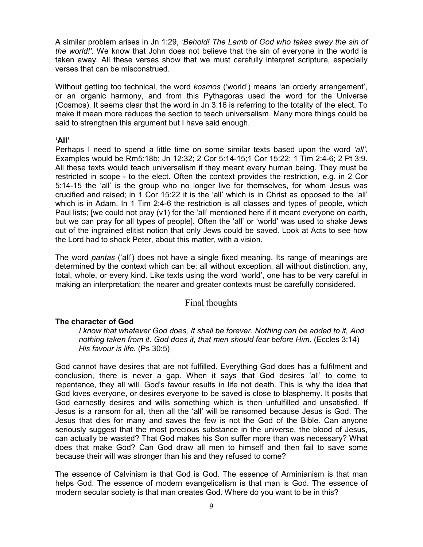A similar problem arises in Jn 1:29, *'Behold! The Lamb of God who takes away the sin of the world!'.* We know that John does not believe that the sin of everyone in the world is taken away. All these verses show that we must carefully interpret scripture, especially verses that can be misconstrued.

Without getting too technical, the word *kosmos* ('world') means 'an orderly arrangement', or an organic harmony, and from this Pythagoras used the word for the Universe (Cosmos). It seems clear that the word in Jn 3:16 is referring to the totality of the elect. To make it mean more reduces the section to teach universalism. Many more things could be said to strengthen this argument but I have said enough.

#### **'All'**

Perhaps I need to spend a little time on some similar texts based upon the word *'all'*. Examples would be Rm5:18b; Jn 12:32; 2 Cor 5:14-15;1 Cor 15:22; 1 Tim 2:4-6; 2 Pt 3:9. All these texts would teach universalism if they meant every human being. They must be restricted in scope - to the elect. Often the context provides the restriction, e.g. in 2 Cor 5:14-15 the 'all' is the group who no longer live for themselves, for whom Jesus was crucified and raised; in 1 Cor 15:22 it is the 'all' which is in Christ as opposed to the 'all' which is in Adam. In 1 Tim 2:4-6 the restriction is all classes and types of people, which Paul lists; [we could not pray (v1) for the 'all' mentioned here if it meant everyone on earth, but we can pray for all types of people]. Often the 'all' or 'world' was used to shake Jews out of the ingrained elitist notion that only Jews could be saved. Look at Acts to see how the Lord had to shock Peter, about this matter, with a vision.

The word *pantas* ('all') does not have a single fixed meaning. Its range of meanings are determined by the context which can be: all without exception, all without distinction, any, total, whole, or every kind. Like texts using the word 'world', one has to be very careful in making an interpretation; the nearer and greater contexts must be carefully considered.

# Final thoughts

# **The character of God**

*I know that whatever God does, It shall be forever. Nothing can be added to it, And nothing taken from it. God does it, that men should fear before Him.* (Eccles 3:14) *His favour is life.* (Ps 30:5)

God cannot have desires that are not fulfilled. Everything God does has a fulfilment and conclusion, there is never a gap. When it says that God desires 'all' to come to repentance, they all will. God's favour results in life not death. This is why the idea that God loves everyone, or desires everyone to be saved is close to blasphemy. It posits that God earnestly desires and wills something which is then unfulfilled and unsatisfied. If Jesus is a ransom for all, then all the 'all' will be ransomed because Jesus is God. The Jesus that dies for many and saves the few is not the God of the Bible. Can anyone seriously suggest that the most precious substance in the universe, the blood of Jesus, can actually be wasted? That God makes his Son suffer more than was necessary? What does that make God? Can God draw all men to himself and then fail to save some because their will was stronger than his and they refused to come?

The essence of Calvinism is that God is God. The essence of Arminianism is that man helps God. The essence of modern evangelicalism is that man is God. The essence of modern secular society is that man creates God. Where do you want to be in this?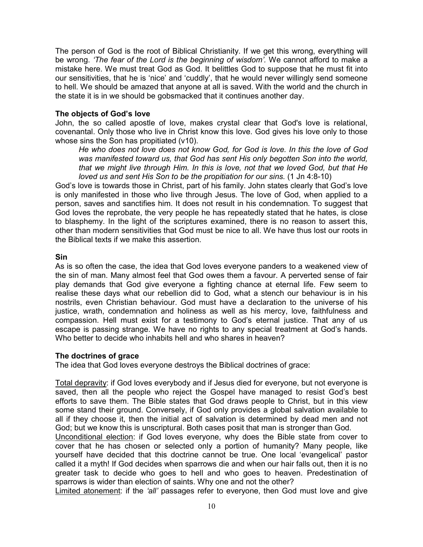The person of God is the root of Biblical Christianity. If we get this wrong, everything will be wrong. *'The fear of the Lord is the beginning of wisdom'.* We cannot afford to make a mistake here. We must treat God as God. It belittles God to suppose that he must fit into our sensitivities, that he is 'nice' and 'cuddly', that he would never willingly send someone to hell. We should be amazed that anyone at all is saved. With the world and the church in the state it is in we should be gobsmacked that it continues another day.

#### **The objects of God's love**

John, the so called apostle of love, makes crystal clear that God's love is relational, covenantal. Only those who live in Christ know this love. God gives his love only to those whose sins the Son has propitiated (v10).

*He who does not love does not know God, for God is love. In this the love of God*  was manifested toward us, that God has sent His only begotten Son into the world, *that we might live through Him. In this is love, not that we loved God, but that He loved us and sent His Son to be the propitiation for our sins.* (1 Jn 4:8-10)

God's love is towards those in Christ, part of his family. John states clearly that God's love is only manifested in those who live through Jesus. The love of God, when applied to a person, saves and sanctifies him. It does not result in his condemnation. To suggest that God loves the reprobate, the very people he has repeatedly stated that he hates, is close to blasphemy. In the light of the scriptures examined, there is no reason to assert this, other than modern sensitivities that God must be nice to all. We have thus lost our roots in the Biblical texts if we make this assertion.

#### **Sin**

As is so often the case, the idea that God loves everyone panders to a weakened view of the sin of man. Many almost feel that God owes them a favour. A perverted sense of fair play demands that God give everyone a fighting chance at eternal life. Few seem to realise these days what our rebellion did to God, what a stench our behaviour is in his nostrils, even Christian behaviour. God must have a declaration to the universe of his justice, wrath, condemnation and holiness as well as his mercy, love, faithfulness and compassion. Hell must exist for a testimony to God's eternal justice. That any of us escape is passing strange. We have no rights to any special treatment at God's hands. Who better to decide who inhabits hell and who shares in heaven?

#### **The doctrines of grace**

The idea that God loves everyone destroys the Biblical doctrines of grace:

Total depravity: if God loves everybody and if Jesus died for everyone, but not everyone is saved, then all the people who reject the Gospel have managed to resist God's best efforts to save them. The Bible states that God draws people to Christ, but in this view some stand their ground. Conversely, if God only provides a global salvation available to all if they choose it, then the initial act of salvation is determined by dead men and not God; but we know this is unscriptural. Both cases posit that man is stronger than God.

Unconditional election: if God loves everyone, why does the Bible state from cover to cover that he has chosen or selected only a portion of humanity? Many people, like yourself have decided that this doctrine cannot be true. One local 'evangelical' pastor called it a myth! If God decides when sparrows die and when our hair falls out, then it is no greater task to decide who goes to hell and who goes to heaven. Predestination of sparrows is wider than election of saints. Why one and not the other?

Limited atonement: if the *'all'* passages refer to everyone, then God must love and give